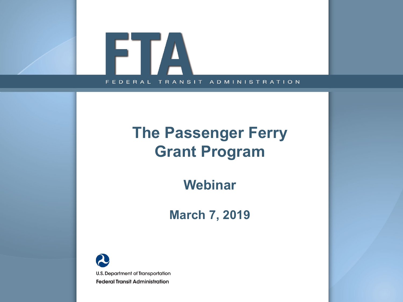

### **The Passenger Ferry Grant Program**

**Webinar**

**March 7, 2019**

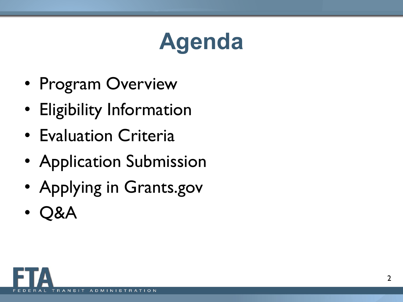## **Agenda**

- Program Overview
- Eligibility Information
- Evaluation Criteria
- Application Submission
- Applying in Grants.gov
- Q&A

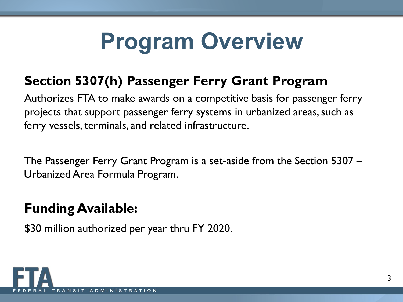## **Program Overview**

### **Section 5307(h) Passenger Ferry Grant Program**

Authorizes FTA to make awards on a competitive basis for passenger ferry projects that support passenger ferry systems in urbanized areas, such as ferry vessels, terminals, and related infrastructure.

The Passenger Ferry Grant Program is a set-aside from the Section 5307 – Urbanized Area Formula Program.

### **Funding Available:**

\$30 million authorized per year thru FY 2020.

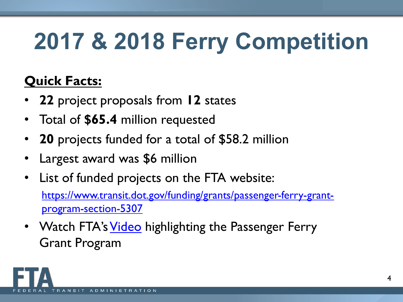## **2017 & 2018 Ferry Competition**

### **Quick Facts:**

- **22** project proposals from **12** states
- Total of **\$65.4** million requested
- **20** projects funded for a total of \$58.2 million
- Largest award was \$6 million
- List of funded projects on the FTA website: [https://www.transit.dot.gov/funding/grants/passenger-ferry-grant](https://www.transit.dot.gov/funding/grants/passenger-ferry-grant-program-section-5307)program-section-5307
- Watch FTA's [Video](https://www.youtube.com/watch?v=UUJVQJ9UM38&feature=youtu.be) highlighting the Passenger Ferry Grant Program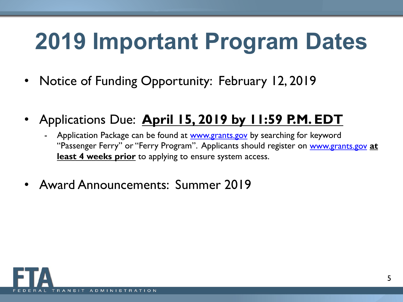## **2019 Important Program Dates**

- Notice of Funding Opportunity: February 12, 2019
- Applications Due: **April 15, 2019 by 11:59 P.M. EDT**
	- Application Package can be found at [www.grants.gov](http://www.grants.gov/) by searching for keyword "Passenger Ferry" or "Ferry Program". Applicants should register on [www.grants.gov](http://www.grants.gov/) **at least 4 weeks prior** to applying to ensure system access.
- Award Announcements: Summer 2019

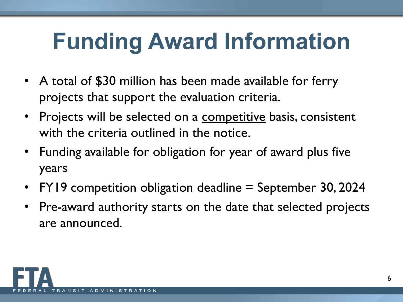## **Funding Award Information**

- A total of \$30 million has been made available for ferry projects that support the evaluation criteria.
- Projects will be selected on a competitive basis, consistent with the criteria outlined in the notice.
- Funding available for obligation for year of award plus five years
- FY19 competition obligation deadline = September 30, 2024
- Pre-award authority starts on the date that selected projects are announced.

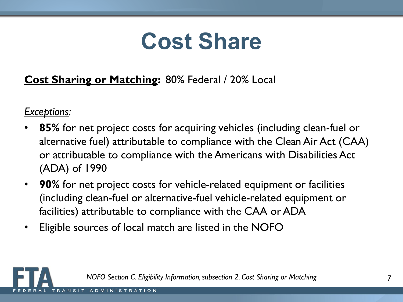## **Cost Share**

#### **Cost Sharing or Matching:** 80% Federal / 20% Local

*Exceptions:*

- **85%** for net project costs for acquiring vehicles (including clean-fuel or alternative fuel) attributable to compliance with the Clean Air Act (CAA) or attributable to compliance with the Americans with Disabilities Act (ADA) of 1990
- **90%** for net project costs for vehicle-related equipment or facilities (including clean-fuel or alternative-fuel vehicle-related equipment or facilities) attributable to compliance with the CAA or ADA
- Eligible sources of local match are listed in the NOFO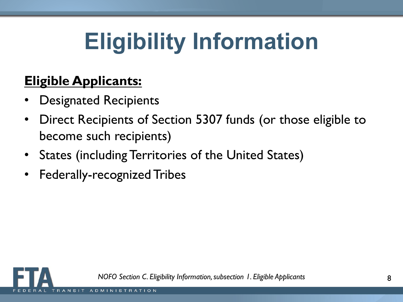## **Eligibility Information**

### **Eligible Applicants:**

- Designated Recipients
- Direct Recipients of Section 5307 funds (or those eligible to become such recipients)
- States (including Territories of the United States)
- Federally-recognized Tribes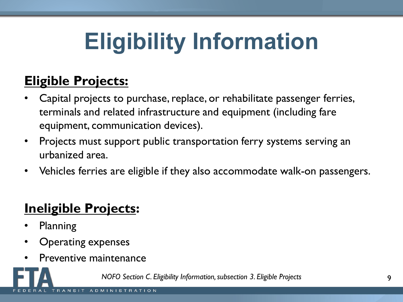## **Eligibility Information**

### **Eligible Projects:**

- Capital projects to purchase, replace, or rehabilitate passenger ferries, terminals and related infrastructure and equipment (including fare equipment, communication devices).
- Projects must support public transportation ferry systems serving an urbanized area.
- Vehicles ferries are eligible if they also accommodate walk-on passengers.

### **Ineligible Projects:**

- Planning
- Operating expenses
- Preventive maintenance

*NOFO Section C. Eligibility Information, subsection 3. Eligible Projects*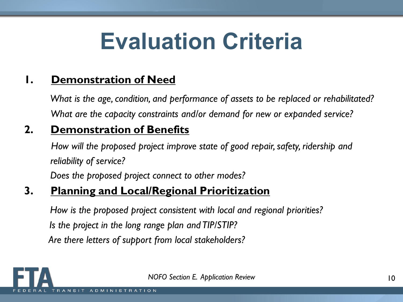## **Evaluation Criteria**

#### **1. Demonstration of Need**

*What is the age, condition, and performance of assets to be replaced or rehabilitated? What are the capacity constraints and/or demand for new or expanded service?*

#### **2. Demonstration of Benefits**

*How will the proposed project improve state of good repair, safety, ridership and reliability of service?*

*Does the proposed project connect to other modes?*

#### **3. Planning and Local/Regional Prioritization**

*How is the proposed project consistent with local and regional priorities? Is the project in the long range plan and TIP/STIP? Are there letters of support from local stakeholders?*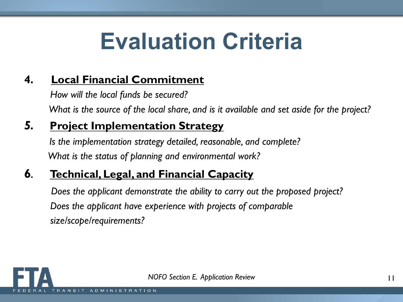## **Evaluation Criteria**

#### **4. Local Financial Commitment**

*How will the local funds be secured? What is the source of the local share, and is it available and set aside for the project?*

#### *5.* **Project Implementation Strategy**

*Is the implementation strategy detailed, reasonable, and complete? What is the status of planning and environmental work?*

#### **6***.* **Technical, Legal, and Financial Capacity**

*Does the applicant demonstrate the ability to carry out the proposed project? Does the applicant have experience with projects of comparable size/scope/requirements?*

*NOFO Section E. Application Review*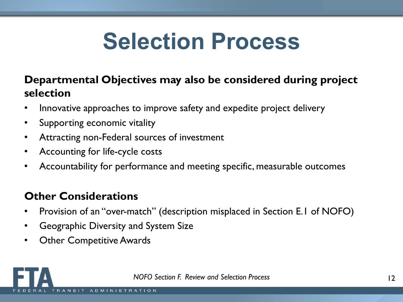## **Selection Process**

#### **Departmental Objectives may also be considered during project selection**

- Innovative approaches to improve safety and expedite project delivery
- Supporting economic vitality
- Attracting non-Federal sources of investment
- Accounting for life-cycle costs
- Accountability for performance and meeting specific, measurable outcomes

#### **Other Considerations**

- Provision of an "over-match" (description misplaced in Section E.1 of NOFO)
- Geographic Diversity and System Size
- Other Competitive Awards

*NOFO Section F. Review and Selection Process*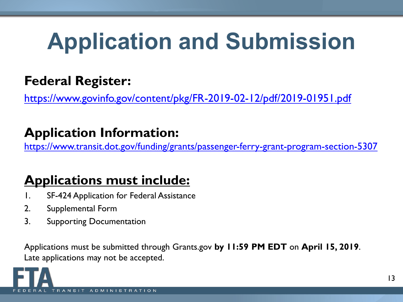## **Application and Submission**

### **Federal Register:**

<https://www.govinfo.gov/content/pkg/FR-2019-02-12/pdf/2019-01951.pdf>

### **Application Information:**

<https://www.transit.dot.gov/funding/grants/passenger-ferry-grant-program-section-5307>

### **Applications must include:**

- 1. SF-424 Application for Federal Assistance
- 2. Supplemental Form
- 3. Supporting Documentation

Applications must be submitted through Grants.gov **by 11:59 PM EDT** on **April 15, 2019**. Late applications may not be accepted.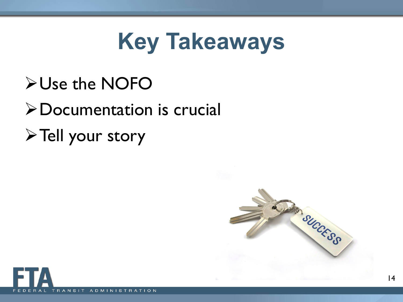## **Key Takeaways**

## Use the NOFO

## Documentation is crucial

 $\triangleright$  Tell your story

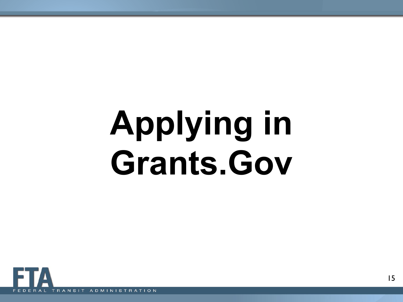# **Applying in Grants.Gov**

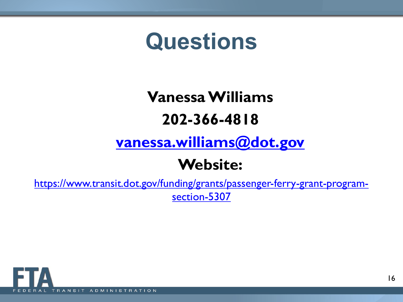## **Questions**

### **Vanessa Williams 202-366-4818**

### **[vanessa.williams@dot.gov](mailto:vanessa.williams@dot.gov)**

### **Website:**

[https://www.transit.dot.gov/funding/grants/passenger-ferry-grant-program](https://www.transit.dot.gov/funding/grants/passenger-ferry-grant-program-section-5307)section-5307